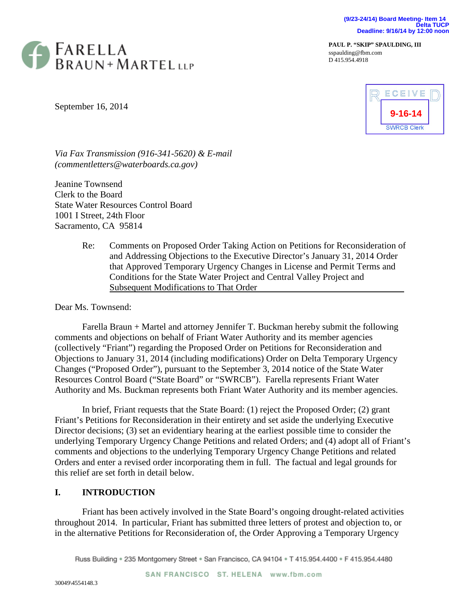

**PAUL P. "SKIP" SPAULDING, III** sspaulding@fbm.com D 415.954.4918

September 16, 2014



*Via Fax Transmission (916-341-5620) & E-mail (commentletters@waterboards.ca.gov)*

Jeanine Townsend Clerk to the Board State Water Resources Control Board 1001 I Street, 24th Floor Sacramento, CA 95814

> Re: Comments on Proposed Order Taking Action on Petitions for Reconsideration of and Addressing Objections to the Executive Director's January 31, 2014 Order that Approved Temporary Urgency Changes in License and Permit Terms and Conditions for the State Water Project and Central Valley Project and Subsequent Modifications to That Order

#### Dear Ms. Townsend:

Farella Braun + Martel and attorney Jennifer T. Buckman hereby submit the following comments and objections on behalf of Friant Water Authority and its member agencies (collectively "Friant") regarding the Proposed Order on Petitions for Reconsideration and Objections to January 31, 2014 (including modifications) Order on Delta Temporary Urgency Changes ("Proposed Order"), pursuant to the September 3, 2014 notice of the State Water Resources Control Board ("State Board" or "SWRCB"). Farella represents Friant Water Authority and Ms. Buckman represents both Friant Water Authority and its member agencies.

In brief, Friant requests that the State Board: (1) reject the Proposed Order; (2) grant Friant's Petitions for Reconsideration in their entirety and set aside the underlying Executive Director decisions; (3) set an evidentiary hearing at the earliest possible time to consider the underlying Temporary Urgency Change Petitions and related Orders; and (4) adopt all of Friant's comments and objections to the underlying Temporary Urgency Change Petitions and related Orders and enter a revised order incorporating them in full. The factual and legal grounds for this relief are set forth in detail below.

# **I. INTRODUCTION**

Friant has been actively involved in the State Board's ongoing drought-related activities throughout 2014. In particular, Friant has submitted three letters of protest and objection to, or in the alternative Petitions for Reconsideration of, the Order Approving a Temporary Urgency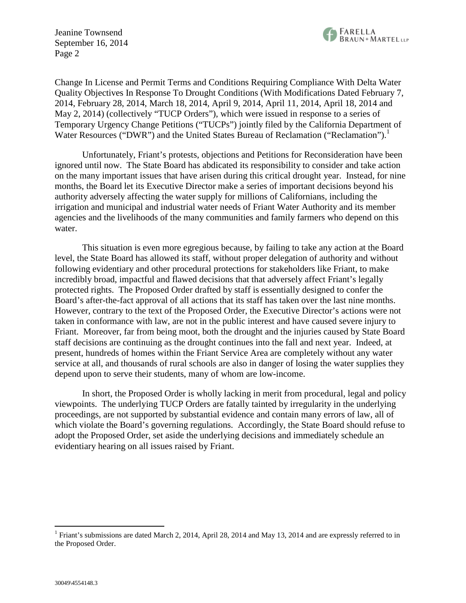

Change In License and Permit Terms and Conditions Requiring Compliance With Delta Water Quality Objectives In Response To Drought Conditions (With Modifications Dated February 7, 2014, February 28, 2014, March 18, 2014, April 9, 2014, April 11, 2014, April 18, 2014 and May 2, 2014) (collectively "TUCP Orders"), which were issued in response to a series of Temporary Urgency Change Petitions ("TUCPs") jointly filed by the California Department of Water Resources ("DWR") and the United States Bureau of Reclamation ("Reclamation").<sup>1</sup>

Unfortunately, Friant's protests, objections and Petitions for Reconsideration have been ignored until now. The State Board has abdicated its responsibility to consider and take action on the many important issues that have arisen during this critical drought year. Instead, for nine months, the Board let its Executive Director make a series of important decisions beyond his authority adversely affecting the water supply for millions of Californians, including the irrigation and municipal and industrial water needs of Friant Water Authority and its member agencies and the livelihoods of the many communities and family farmers who depend on this water.

This situation is even more egregious because, by failing to take any action at the Board level, the State Board has allowed its staff, without proper delegation of authority and without following evidentiary and other procedural protections for stakeholders like Friant, to make incredibly broad, impactful and flawed decisions that that adversely affect Friant's legally protected rights. The Proposed Order drafted by staff is essentially designed to confer the Board's after-the-fact approval of all actions that its staff has taken over the last nine months. However, contrary to the text of the Proposed Order, the Executive Director's actions were not taken in conformance with law, are not in the public interest and have caused severe injury to Friant. Moreover, far from being moot, both the drought and the injuries caused by State Board staff decisions are continuing as the drought continues into the fall and next year. Indeed, at present, hundreds of homes within the Friant Service Area are completely without any water service at all, and thousands of rural schools are also in danger of losing the water supplies they depend upon to serve their students, many of whom are low-income.

In short, the Proposed Order is wholly lacking in merit from procedural, legal and policy viewpoints. The underlying TUCP Orders are fatally tainted by irregularity in the underlying proceedings, are not supported by substantial evidence and contain many errors of law, all of which violate the Board's governing regulations. Accordingly, the State Board should refuse to adopt the Proposed Order, set aside the underlying decisions and immediately schedule an evidentiary hearing on all issues raised by Friant.

<sup>&</sup>lt;sup>1</sup> Friant's submissions are dated March 2, 2014, April 28, 2014 and May 13, 2014 and are expressly referred to in the Proposed Order.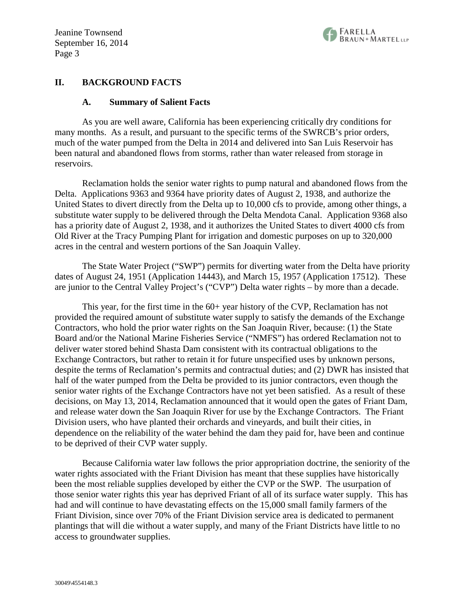

#### **II. BACKGROUND FACTS**

#### **A. Summary of Salient Facts**

As you are well aware, California has been experiencing critically dry conditions for many months. As a result, and pursuant to the specific terms of the SWRCB's prior orders, much of the water pumped from the Delta in 2014 and delivered into San Luis Reservoir has been natural and abandoned flows from storms, rather than water released from storage in reservoirs.

Reclamation holds the senior water rights to pump natural and abandoned flows from the Delta. Applications 9363 and 9364 have priority dates of August 2, 1938, and authorize the United States to divert directly from the Delta up to 10,000 cfs to provide, among other things, a substitute water supply to be delivered through the Delta Mendota Canal. Application 9368 also has a priority date of August 2, 1938, and it authorizes the United States to divert 4000 cfs from Old River at the Tracy Pumping Plant for irrigation and domestic purposes on up to 320,000 acres in the central and western portions of the San Joaquin Valley.

The State Water Project ("SWP") permits for diverting water from the Delta have priority dates of August 24, 1951 (Application 14443), and March 15, 1957 (Application 17512). These are junior to the Central Valley Project's ("CVP") Delta water rights – by more than a decade.

This year, for the first time in the 60+ year history of the CVP, Reclamation has not provided the required amount of substitute water supply to satisfy the demands of the Exchange Contractors, who hold the prior water rights on the San Joaquin River, because: (1) the State Board and/or the National Marine Fisheries Service ("NMFS") has ordered Reclamation not to deliver water stored behind Shasta Dam consistent with its contractual obligations to the Exchange Contractors, but rather to retain it for future unspecified uses by unknown persons, despite the terms of Reclamation's permits and contractual duties; and (2) DWR has insisted that half of the water pumped from the Delta be provided to its junior contractors, even though the senior water rights of the Exchange Contractors have not yet been satisfied. As a result of these decisions, on May 13, 2014, Reclamation announced that it would open the gates of Friant Dam, and release water down the San Joaquin River for use by the Exchange Contractors. The Friant Division users, who have planted their orchards and vineyards, and built their cities, in dependence on the reliability of the water behind the dam they paid for, have been and continue to be deprived of their CVP water supply.

Because California water law follows the prior appropriation doctrine, the seniority of the water rights associated with the Friant Division has meant that these supplies have historically been the most reliable supplies developed by either the CVP or the SWP. The usurpation of those senior water rights this year has deprived Friant of all of its surface water supply. This has had and will continue to have devastating effects on the 15,000 small family farmers of the Friant Division, since over 70% of the Friant Division service area is dedicated to permanent plantings that will die without a water supply, and many of the Friant Districts have little to no access to groundwater supplies.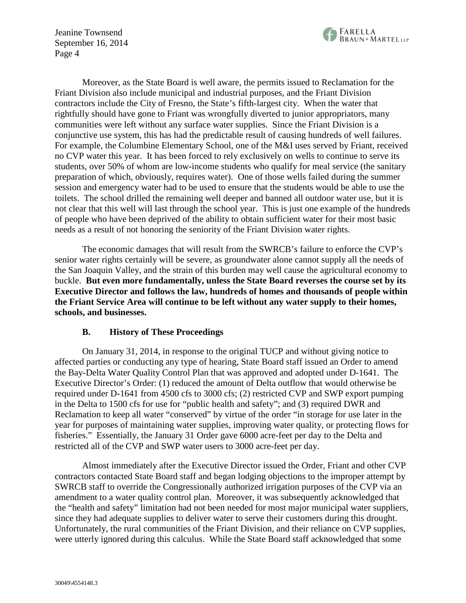

Moreover, as the State Board is well aware, the permits issued to Reclamation for the Friant Division also include municipal and industrial purposes, and the Friant Division contractors include the City of Fresno, the State's fifth-largest city. When the water that rightfully should have gone to Friant was wrongfully diverted to junior appropriators, many communities were left without any surface water supplies. Since the Friant Division is a conjunctive use system, this has had the predictable result of causing hundreds of well failures. For example, the Columbine Elementary School, one of the M&I uses served by Friant, received no CVP water this year. It has been forced to rely exclusively on wells to continue to serve its students, over 50% of whom are low-income students who qualify for meal service (the sanitary preparation of which, obviously, requires water). One of those wells failed during the summer session and emergency water had to be used to ensure that the students would be able to use the toilets. The school drilled the remaining well deeper and banned all outdoor water use, but it is not clear that this well will last through the school year. This is just one example of the hundreds of people who have been deprived of the ability to obtain sufficient water for their most basic needs as a result of not honoring the seniority of the Friant Division water rights.

The economic damages that will result from the SWRCB's failure to enforce the CVP's senior water rights certainly will be severe, as groundwater alone cannot supply all the needs of the San Joaquin Valley, and the strain of this burden may well cause the agricultural economy to buckle. **But even more fundamentally, unless the State Board reverses the course set by its Executive Director and follows the law, hundreds of homes and thousands of people within the Friant Service Area will continue to be left without any water supply to their homes, schools, and businesses.**

#### **B. History of These Proceedings**

On January 31, 2014, in response to the original TUCP and without giving notice to affected parties or conducting any type of hearing, State Board staff issued an Order to amend the Bay-Delta Water Quality Control Plan that was approved and adopted under D-1641. The Executive Director's Order: (1) reduced the amount of Delta outflow that would otherwise be required under D-1641 from 4500 cfs to 3000 cfs; (2) restricted CVP and SWP export pumping in the Delta to 1500 cfs for use for "public health and safety"; and (3) required DWR and Reclamation to keep all water "conserved" by virtue of the order "in storage for use later in the year for purposes of maintaining water supplies, improving water quality, or protecting flows for fisheries." Essentially, the January 31 Order gave 6000 acre-feet per day to the Delta and restricted all of the CVP and SWP water users to 3000 acre-feet per day.

Almost immediately after the Executive Director issued the Order, Friant and other CVP contractors contacted State Board staff and began lodging objections to the improper attempt by SWRCB staff to override the Congressionally authorized irrigation purposes of the CVP via an amendment to a water quality control plan. Moreover, it was subsequently acknowledged that the "health and safety" limitation had not been needed for most major municipal water suppliers, since they had adequate supplies to deliver water to serve their customers during this drought. Unfortunately, the rural communities of the Friant Division, and their reliance on CVP supplies, were utterly ignored during this calculus. While the State Board staff acknowledged that some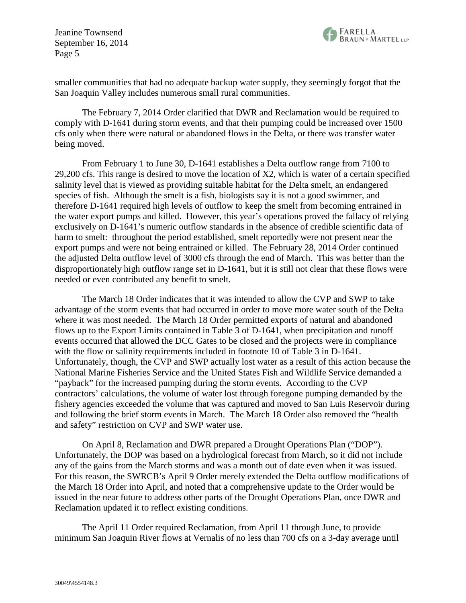

smaller communities that had no adequate backup water supply, they seemingly forgot that the San Joaquin Valley includes numerous small rural communities.

The February 7, 2014 Order clarified that DWR and Reclamation would be required to comply with D-1641 during storm events, and that their pumping could be increased over 1500 cfs only when there were natural or abandoned flows in the Delta, or there was transfer water being moved.

From February 1 to June 30, D-1641 establishes a Delta outflow range from 7100 to 29,200 cfs. This range is desired to move the location of X2, which is water of a certain specified salinity level that is viewed as providing suitable habitat for the Delta smelt, an endangered species of fish. Although the smelt is a fish, biologists say it is not a good swimmer, and therefore D-1641 required high levels of outflow to keep the smelt from becoming entrained in the water export pumps and killed. However, this year's operations proved the fallacy of relying exclusively on D-1641's numeric outflow standards in the absence of credible scientific data of harm to smelt: throughout the period established, smelt reportedly were not present near the export pumps and were not being entrained or killed. The February 28, 2014 Order continued the adjusted Delta outflow level of 3000 cfs through the end of March. This was better than the disproportionately high outflow range set in D-1641, but it is still not clear that these flows were needed or even contributed any benefit to smelt.

The March 18 Order indicates that it was intended to allow the CVP and SWP to take advantage of the storm events that had occurred in order to move more water south of the Delta where it was most needed. The March 18 Order permitted exports of natural and abandoned flows up to the Export Limits contained in Table 3 of D-1641, when precipitation and runoff events occurred that allowed the DCC Gates to be closed and the projects were in compliance with the flow or salinity requirements included in footnote 10 of Table 3 in D-1641. Unfortunately, though, the CVP and SWP actually lost water as a result of this action because the National Marine Fisheries Service and the United States Fish and Wildlife Service demanded a "payback" for the increased pumping during the storm events. According to the CVP contractors' calculations, the volume of water lost through foregone pumping demanded by the fishery agencies exceeded the volume that was captured and moved to San Luis Reservoir during and following the brief storm events in March. The March 18 Order also removed the "health and safety" restriction on CVP and SWP water use.

On April 8, Reclamation and DWR prepared a Drought Operations Plan ("DOP"). Unfortunately, the DOP was based on a hydrological forecast from March, so it did not include any of the gains from the March storms and was a month out of date even when it was issued. For this reason, the SWRCB's April 9 Order merely extended the Delta outflow modifications of the March 18 Order into April, and noted that a comprehensive update to the Order would be issued in the near future to address other parts of the Drought Operations Plan, once DWR and Reclamation updated it to reflect existing conditions.

The April 11 Order required Reclamation, from April 11 through June, to provide minimum San Joaquin River flows at Vernalis of no less than 700 cfs on a 3-day average until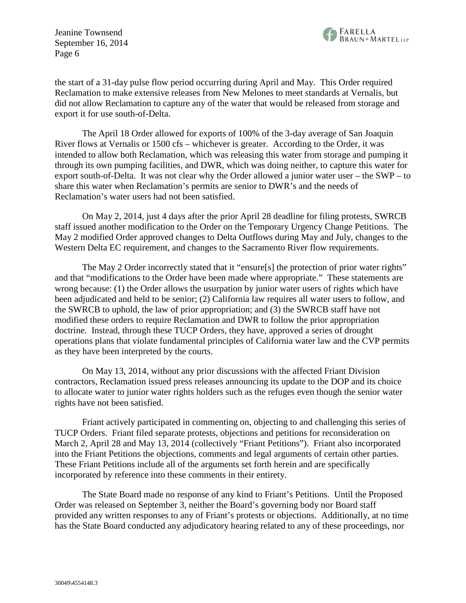

the start of a 31-day pulse flow period occurring during April and May. This Order required Reclamation to make extensive releases from New Melones to meet standards at Vernalis, but did not allow Reclamation to capture any of the water that would be released from storage and export it for use south-of-Delta.

The April 18 Order allowed for exports of 100% of the 3-day average of San Joaquin River flows at Vernalis or 1500 cfs – whichever is greater. According to the Order, it was intended to allow both Reclamation, which was releasing this water from storage and pumping it through its own pumping facilities, and DWR, which was doing neither, to capture this water for export south-of-Delta. It was not clear why the Order allowed a junior water user – the SWP – to share this water when Reclamation's permits are senior to DWR's and the needs of Reclamation's water users had not been satisfied.

On May 2, 2014, just 4 days after the prior April 28 deadline for filing protests, SWRCB staff issued another modification to the Order on the Temporary Urgency Change Petitions. The May 2 modified Order approved changes to Delta Outflows during May and July, changes to the Western Delta EC requirement, and changes to the Sacramento River flow requirements.

The May 2 Order incorrectly stated that it "ensure[s] the protection of prior water rights" and that "modifications to the Order have been made where appropriate." These statements are wrong because: (1) the Order allows the usurpation by junior water users of rights which have been adjudicated and held to be senior; (2) California law requires all water users to follow, and the SWRCB to uphold, the law of prior appropriation; and (3) the SWRCB staff have not modified these orders to require Reclamation and DWR to follow the prior appropriation doctrine. Instead, through these TUCP Orders, they have, approved a series of drought operations plans that violate fundamental principles of California water law and the CVP permits as they have been interpreted by the courts.

On May 13, 2014, without any prior discussions with the affected Friant Division contractors, Reclamation issued press releases announcing its update to the DOP and its choice to allocate water to junior water rights holders such as the refuges even though the senior water rights have not been satisfied.

Friant actively participated in commenting on, objecting to and challenging this series of TUCP Orders. Friant filed separate protests, objections and petitions for reconsideration on March 2, April 28 and May 13, 2014 (collectively "Friant Petitions"). Friant also incorporated into the Friant Petitions the objections, comments and legal arguments of certain other parties. These Friant Petitions include all of the arguments set forth herein and are specifically incorporated by reference into these comments in their entirety.

The State Board made no response of any kind to Friant's Petitions. Until the Proposed Order was released on September 3, neither the Board's governing body nor Board staff provided any written responses to any of Friant's protests or objections. Additionally, at no time has the State Board conducted any adjudicatory hearing related to any of these proceedings, nor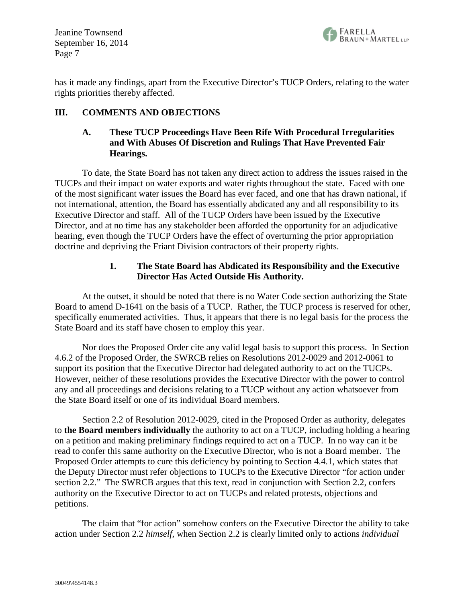

has it made any findings, apart from the Executive Director's TUCP Orders, relating to the water rights priorities thereby affected.

## **III. COMMENTS AND OBJECTIONS**

## **A. These TUCP Proceedings Have Been Rife With Procedural Irregularities and With Abuses Of Discretion and Rulings That Have Prevented Fair Hearings.**

To date, the State Board has not taken any direct action to address the issues raised in the TUCPs and their impact on water exports and water rights throughout the state. Faced with one of the most significant water issues the Board has ever faced, and one that has drawn national, if not international, attention, the Board has essentially abdicated any and all responsibility to its Executive Director and staff. All of the TUCP Orders have been issued by the Executive Director, and at no time has any stakeholder been afforded the opportunity for an adjudicative hearing, even though the TUCP Orders have the effect of overturning the prior appropriation doctrine and depriving the Friant Division contractors of their property rights.

## **1. The State Board has Abdicated its Responsibility and the Executive Director Has Acted Outside His Authority.**

At the outset, it should be noted that there is no Water Code section authorizing the State Board to amend D-1641 on the basis of a TUCP. Rather, the TUCP process is reserved for other, specifically enumerated activities. Thus, it appears that there is no legal basis for the process the State Board and its staff have chosen to employ this year.

Nor does the Proposed Order cite any valid legal basis to support this process. In Section 4.6.2 of the Proposed Order, the SWRCB relies on Resolutions 2012-0029 and 2012-0061 to support its position that the Executive Director had delegated authority to act on the TUCPs. However, neither of these resolutions provides the Executive Director with the power to control any and all proceedings and decisions relating to a TUCP without any action whatsoever from the State Board itself or one of its individual Board members.

Section 2.2 of Resolution 2012-0029, cited in the Proposed Order as authority, delegates to **the Board members individually** the authority to act on a TUCP, including holding a hearing on a petition and making preliminary findings required to act on a TUCP. In no way can it be read to confer this same authority on the Executive Director, who is not a Board member. The Proposed Order attempts to cure this deficiency by pointing to Section 4.4.1, which states that the Deputy Director must refer objections to TUCPs to the Executive Director "for action under section 2.2." The SWRCB argues that this text, read in conjunction with Section 2.2, confers authority on the Executive Director to act on TUCPs and related protests, objections and petitions.

The claim that "for action" somehow confers on the Executive Director the ability to take action under Section 2.2 *himself*, when Section 2.2 is clearly limited only to actions *individual*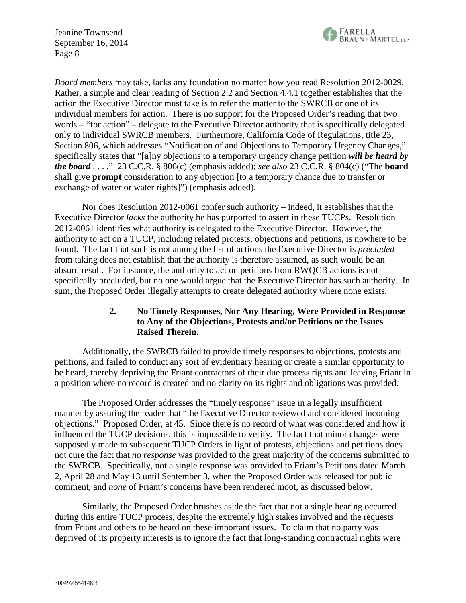

*Board members* may take, lacks any foundation no matter how you read Resolution 2012-0029. Rather, a simple and clear reading of Section 2.2 and Section 4.4.1 together establishes that the action the Executive Director must take is to refer the matter to the SWRCB or one of its individual members for action. There is no support for the Proposed Order's reading that two words – "for action" – delegate to the Executive Director authority that is specifically delegated only to individual SWRCB members. Furthermore, California Code of Regulations, title 23, Section 806, which addresses "Notification of and Objections to Temporary Urgency Changes," specifically states that "[a]ny objections to a temporary urgency change petition *will be heard by the board* . . . ." 23 C.C.R. § 806(c) (emphasis added); *see also* 23 C.C.R. § 804(c) ("The **board** shall give **prompt** consideration to any objection [to a temporary chance due to transfer or exchange of water or water rights]") (emphasis added).

Nor does Resolution 2012-0061 confer such authority – indeed, it establishes that the Executive Director *lacks* the authority he has purported to assert in these TUCPs. Resolution 2012-0061 identifies what authority is delegated to the Executive Director. However, the authority to act on a TUCP, including related protests, objections and petitions, is nowhere to be found. The fact that such is not among the list of actions the Executive Director is *precluded* from taking does not establish that the authority is therefore assumed, as such would be an absurd result. For instance, the authority to act on petitions from RWQCB actions is not specifically precluded, but no one would argue that the Executive Director has such authority. In sum, the Proposed Order illegally attempts to create delegated authority where none exists.

# **2. No Timely Responses, Nor Any Hearing, Were Provided in Response to Any of the Objections, Protests and/or Petitions or the Issues Raised Therein.**

Additionally, the SWRCB failed to provide timely responses to objections, protests and petitions, and failed to conduct any sort of evidentiary hearing or create a similar opportunity to be heard, thereby depriving the Friant contractors of their due process rights and leaving Friant in a position where no record is created and no clarity on its rights and obligations was provided.

The Proposed Order addresses the "timely response" issue in a legally insufficient manner by assuring the reader that "the Executive Director reviewed and considered incoming objections." Proposed Order, at 45. Since there is no record of what was considered and how it influenced the TUCP decisions, this is impossible to verify. The fact that minor changes were supposedly made to subsequent TUCP Orders in light of protests, objections and petitions does not cure the fact that *no response* was provided to the great majority of the concerns submitted to the SWRCB. Specifically, not a single response was provided to Friant's Petitions dated March 2, April 28 and May 13 until September 3, when the Proposed Order was released for public comment, and *none* of Friant's concerns have been rendered moot, as discussed below.

Similarly, the Proposed Order brushes aside the fact that not a single hearing occurred during this entire TUCP process, despite the extremely high stakes involved and the requests from Friant and others to be heard on these important issues. To claim that no party was deprived of its property interests is to ignore the fact that long-standing contractual rights were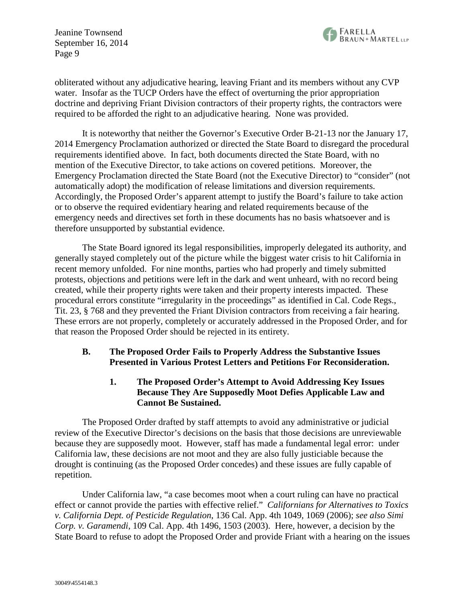obliterated without any adjudicative hearing, leaving Friant and its members without any CVP water. Insofar as the TUCP Orders have the effect of overturning the prior appropriation doctrine and depriving Friant Division contractors of their property rights, the contractors were required to be afforded the right to an adjudicative hearing. None was provided.

It is noteworthy that neither the Governor's Executive Order B-21-13 nor the January 17, 2014 Emergency Proclamation authorized or directed the State Board to disregard the procedural requirements identified above. In fact, both documents directed the State Board, with no mention of the Executive Director, to take actions on covered petitions. Moreover, the Emergency Proclamation directed the State Board (not the Executive Director) to "consider" (not automatically adopt) the modification of release limitations and diversion requirements. Accordingly, the Proposed Order's apparent attempt to justify the Board's failure to take action or to observe the required evidentiary hearing and related requirements because of the emergency needs and directives set forth in these documents has no basis whatsoever and is therefore unsupported by substantial evidence.

The State Board ignored its legal responsibilities, improperly delegated its authority, and generally stayed completely out of the picture while the biggest water crisis to hit California in recent memory unfolded. For nine months, parties who had properly and timely submitted protests, objections and petitions were left in the dark and went unheard, with no record being created, while their property rights were taken and their property interests impacted. These procedural errors constitute "irregularity in the proceedings" as identified in Cal. Code Regs., Tit. 23, § 768 and they prevented the Friant Division contractors from receiving a fair hearing. These errors are not properly, completely or accurately addressed in the Proposed Order, and for that reason the Proposed Order should be rejected in its entirety.

# **B. The Proposed Order Fails to Properly Address the Substantive Issues Presented in Various Protest Letters and Petitions For Reconsideration.**

# **1. The Proposed Order's Attempt to Avoid Addressing Key Issues Because They Are Supposedly Moot Defies Applicable Law and Cannot Be Sustained.**

The Proposed Order drafted by staff attempts to avoid any administrative or judicial review of the Executive Director's decisions on the basis that those decisions are unreviewable because they are supposedly moot. However, staff has made a fundamental legal error: under California law, these decisions are not moot and they are also fully justiciable because the drought is continuing (as the Proposed Order concedes) and these issues are fully capable of repetition.

Under California law, "a case becomes moot when a court ruling can have no practical effect or cannot provide the parties with effective relief." *Californians for Alternatives to Toxics v. California Dept. of Pesticide Regulation*, 136 Cal. App. 4th 1049, 1069 (2006); *see also Simi Corp. v. Garamendi*, 109 Cal. App. 4th 1496, 1503 (2003). Here, however, a decision by the State Board to refuse to adopt the Proposed Order and provide Friant with a hearing on the issues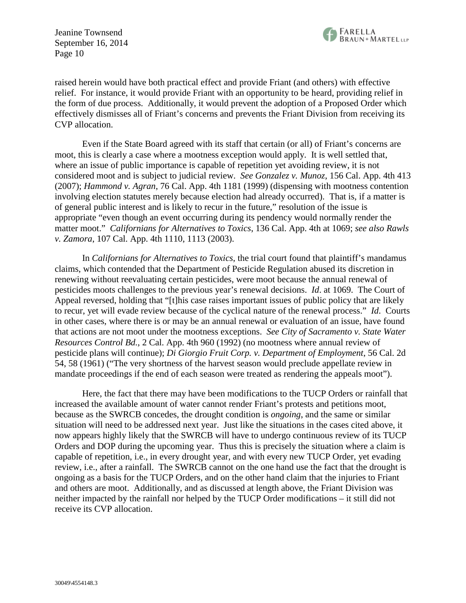

raised herein would have both practical effect and provide Friant (and others) with effective relief. For instance, it would provide Friant with an opportunity to be heard, providing relief in the form of due process. Additionally, it would prevent the adoption of a Proposed Order which effectively dismisses all of Friant's concerns and prevents the Friant Division from receiving its CVP allocation.

Even if the State Board agreed with its staff that certain (or all) of Friant's concerns are moot, this is clearly a case where a mootness exception would apply. It is well settled that, where an issue of public importance is capable of repetition yet avoiding review, it is not considered moot and is subject to judicial review. *See Gonzalez v. Munoz*, 156 Cal. App. 4th 413 (2007); *Hammond v. Agran*, 76 Cal. App. 4th 1181 (1999) (dispensing with mootness contention involving election statutes merely because election had already occurred). That is, if a matter is of general public interest and is likely to recur in the future," resolution of the issue is appropriate "even though an event occurring during its pendency would normally render the matter moot." *Californians for Alternatives to Toxics*, 136 Cal. App. 4th at 1069; *see also Rawls v. Zamora*, 107 Cal. App. 4th 1110, 1113 (2003).

In *Californians for Alternatives to Toxics*, the trial court found that plaintiff's mandamus claims, which contended that the Department of Pesticide Regulation abused its discretion in renewing without reevaluating certain pesticides, were moot because the annual renewal of pesticides moots challenges to the previous year's renewal decisions. *Id*. at 1069. The Court of Appeal reversed, holding that "[t]his case raises important issues of public policy that are likely to recur, yet will evade review because of the cyclical nature of the renewal process." *Id*. Courts in other cases, where there is or may be an annual renewal or evaluation of an issue, have found that actions are not moot under the mootness exceptions. *See City of Sacramento v. State Water Resources Control Bd.*, 2 Cal. App. 4th 960 (1992) (no mootness where annual review of pesticide plans will continue); *Di Giorgio Fruit Corp. v. Department of Employment*, 56 Cal. 2d 54, 58 (1961) ("The very shortness of the harvest season would preclude appellate review in mandate proceedings if the end of each season were treated as rendering the appeals moot").

Here, the fact that there may have been modifications to the TUCP Orders or rainfall that increased the available amount of water cannot render Friant's protests and petitions moot, because as the SWRCB concedes, the drought condition is *ongoing*, and the same or similar situation will need to be addressed next year. Just like the situations in the cases cited above, it now appears highly likely that the SWRCB will have to undergo continuous review of its TUCP Orders and DOP during the upcoming year. Thus this is precisely the situation where a claim is capable of repetition, i.e., in every drought year, and with every new TUCP Order, yet evading review, i.e., after a rainfall. The SWRCB cannot on the one hand use the fact that the drought is ongoing as a basis for the TUCP Orders, and on the other hand claim that the injuries to Friant and others are moot. Additionally, and as discussed at length above, the Friant Division was neither impacted by the rainfall nor helped by the TUCP Order modifications – it still did not receive its CVP allocation.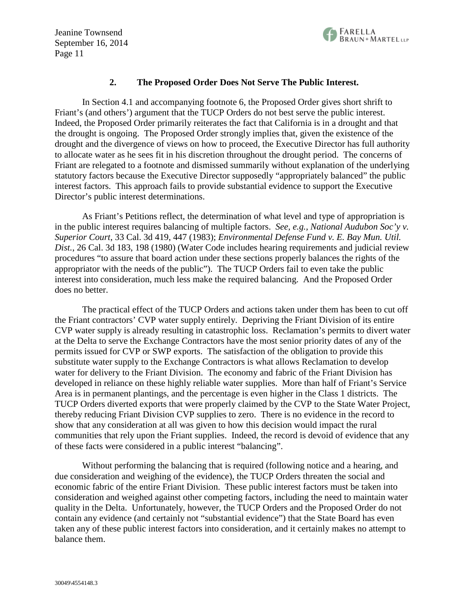

#### **2. The Proposed Order Does Not Serve The Public Interest.**

In Section 4.1 and accompanying footnote 6, the Proposed Order gives short shrift to Friant's (and others') argument that the TUCP Orders do not best serve the public interest. Indeed, the Proposed Order primarily reiterates the fact that California is in a drought and that the drought is ongoing. The Proposed Order strongly implies that, given the existence of the drought and the divergence of views on how to proceed, the Executive Director has full authority to allocate water as he sees fit in his discretion throughout the drought period. The concerns of Friant are relegated to a footnote and dismissed summarily without explanation of the underlying statutory factors because the Executive Director supposedly "appropriately balanced" the public interest factors. This approach fails to provide substantial evidence to support the Executive Director's public interest determinations.

As Friant's Petitions reflect, the determination of what level and type of appropriation is in the public interest requires balancing of multiple factors. *See, e.g., National Audubon Soc'y v. Superior Court*, 33 Cal. 3d 419, 447 (1983); *Environmental Defense Fund v. E. Bay Mun. Util. Dist.*, 26 Cal. 3d 183, 198 (1980) (Water Code includes hearing requirements and judicial review procedures "to assure that board action under these sections properly balances the rights of the appropriator with the needs of the public"). The TUCP Orders fail to even take the public interest into consideration, much less make the required balancing. And the Proposed Order does no better.

The practical effect of the TUCP Orders and actions taken under them has been to cut off the Friant contractors' CVP water supply entirely. Depriving the Friant Division of its entire CVP water supply is already resulting in catastrophic loss. Reclamation's permits to divert water at the Delta to serve the Exchange Contractors have the most senior priority dates of any of the permits issued for CVP or SWP exports. The satisfaction of the obligation to provide this substitute water supply to the Exchange Contractors is what allows Reclamation to develop water for delivery to the Friant Division. The economy and fabric of the Friant Division has developed in reliance on these highly reliable water supplies. More than half of Friant's Service Area is in permanent plantings, and the percentage is even higher in the Class 1 districts. The TUCP Orders diverted exports that were properly claimed by the CVP to the State Water Project, thereby reducing Friant Division CVP supplies to zero. There is no evidence in the record to show that any consideration at all was given to how this decision would impact the rural communities that rely upon the Friant supplies. Indeed, the record is devoid of evidence that any of these facts were considered in a public interest "balancing".

Without performing the balancing that is required (following notice and a hearing, and due consideration and weighing of the evidence), the TUCP Orders threaten the social and economic fabric of the entire Friant Division. These public interest factors must be taken into consideration and weighed against other competing factors, including the need to maintain water quality in the Delta. Unfortunately, however, the TUCP Orders and the Proposed Order do not contain any evidence (and certainly not "substantial evidence") that the State Board has even taken any of these public interest factors into consideration, and it certainly makes no attempt to balance them.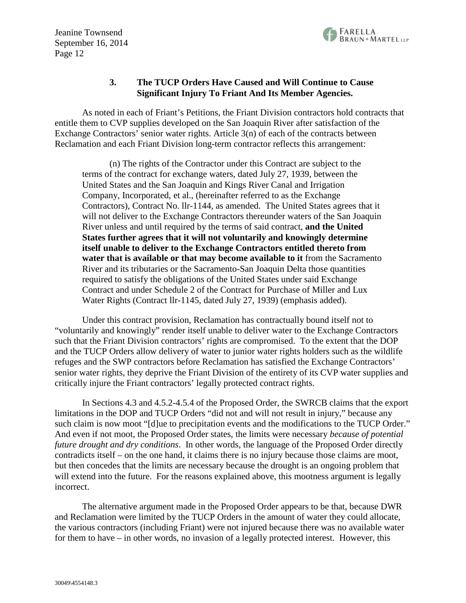

#### **3. The TUCP Orders Have Caused and Will Continue to Cause Significant Injury To Friant And Its Member Agencies.**

As noted in each of Friant's Petitions, the Friant Division contractors hold contracts that entitle them to CVP supplies developed on the San Joaquin River after satisfaction of the Exchange Contractors' senior water rights. Article 3(n) of each of the contracts between Reclamation and each Friant Division long-term contractor reflects this arrangement:

(n) The rights of the Contractor under this Contract are subject to the terms of the contract for exchange waters, dated July 27, 1939, between the United States and the San Joaquin and Kings River Canal and Irrigation Company, Incorporated, et al., (hereinafter referred to as the Exchange Contractors), Contract No. llr-1144, as amended. The United States agrees that it will not deliver to the Exchange Contractors thereunder waters of the San Joaquin River unless and until required by the terms of said contract, **and the United States further agrees that it will not voluntarily and knowingly determine itself unable to deliver to the Exchange Contractors entitled thereto from water that is available or that may become available to it** from the Sacramento River and its tributaries or the Sacramento-San Joaquin Delta those quantities required to satisfy the obligations of the United States under said Exchange Contract and under Schedule 2 of the Contract for Purchase of Miller and Lux Water Rights (Contract llr-1145, dated July 27, 1939) (emphasis added).

Under this contract provision, Reclamation has contractually bound itself not to "voluntarily and knowingly" render itself unable to deliver water to the Exchange Contractors such that the Friant Division contractors' rights are compromised. To the extent that the DOP and the TUCP Orders allow delivery of water to junior water rights holders such as the wildlife refuges and the SWP contractors before Reclamation has satisfied the Exchange Contractors' senior water rights, they deprive the Friant Division of the entirety of its CVP water supplies and critically injure the Friant contractors' legally protected contract rights.

In Sections 4.3 and 4.5.2-4.5.4 of the Proposed Order, the SWRCB claims that the export limitations in the DOP and TUCP Orders "did not and will not result in injury," because any such claim is now moot "[d]ue to precipitation events and the modifications to the TUCP Order." And even if not moot, the Proposed Order states, the limits were necessary *because of potential future drought and dry conditions*. In other words, the language of the Proposed Order directly contradicts itself – on the one hand, it claims there is no injury because those claims are moot, but then concedes that the limits are necessary because the drought is an ongoing problem that will extend into the future. For the reasons explained above, this mootness argument is legally incorrect.

The alternative argument made in the Proposed Order appears to be that, because DWR and Reclamation were limited by the TUCP Orders in the amount of water they could allocate, the various contractors (including Friant) were not injured because there was no available water for them to have – in other words, no invasion of a legally protected interest. However, this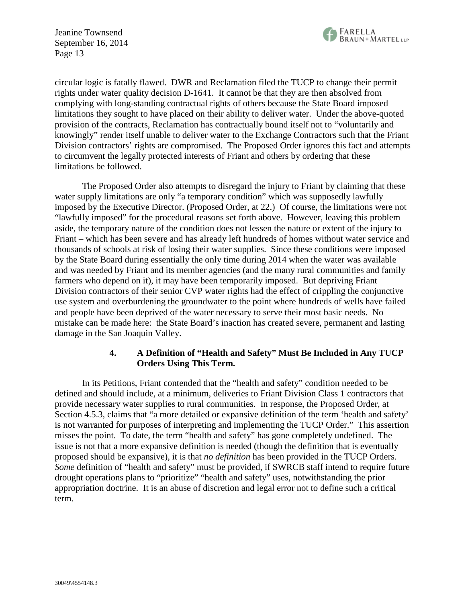

circular logic is fatally flawed. DWR and Reclamation filed the TUCP to change their permit rights under water quality decision D-1641. It cannot be that they are then absolved from complying with long-standing contractual rights of others because the State Board imposed limitations they sought to have placed on their ability to deliver water. Under the above-quoted provision of the contracts, Reclamation has contractually bound itself not to "voluntarily and knowingly" render itself unable to deliver water to the Exchange Contractors such that the Friant Division contractors' rights are compromised. The Proposed Order ignores this fact and attempts to circumvent the legally protected interests of Friant and others by ordering that these limitations be followed.

The Proposed Order also attempts to disregard the injury to Friant by claiming that these water supply limitations are only "a temporary condition" which was supposedly lawfully imposed by the Executive Director. (Proposed Order, at 22.) Of course, the limitations were not "lawfully imposed" for the procedural reasons set forth above. However, leaving this problem aside, the temporary nature of the condition does not lessen the nature or extent of the injury to Friant – which has been severe and has already left hundreds of homes without water service and thousands of schools at risk of losing their water supplies. Since these conditions were imposed by the State Board during essentially the only time during 2014 when the water was available and was needed by Friant and its member agencies (and the many rural communities and family farmers who depend on it), it may have been temporarily imposed. But depriving Friant Division contractors of their senior CVP water rights had the effect of crippling the conjunctive use system and overburdening the groundwater to the point where hundreds of wells have failed and people have been deprived of the water necessary to serve their most basic needs. No mistake can be made here: the State Board's inaction has created severe, permanent and lasting damage in the San Joaquin Valley.

#### **4. A Definition of "Health and Safety" Must Be Included in Any TUCP Orders Using This Term.**

In its Petitions, Friant contended that the "health and safety" condition needed to be defined and should include, at a minimum, deliveries to Friant Division Class 1 contractors that provide necessary water supplies to rural communities. In response, the Proposed Order, at Section 4.5.3, claims that "a more detailed or expansive definition of the term 'health and safety' is not warranted for purposes of interpreting and implementing the TUCP Order." This assertion misses the point. To date, the term "health and safety" has gone completely undefined. The issue is not that a more expansive definition is needed (though the definition that is eventually proposed should be expansive), it is that *no definition* has been provided in the TUCP Orders. *Some* definition of "health and safety" must be provided, if SWRCB staff intend to require future drought operations plans to "prioritize" "health and safety" uses, notwithstanding the prior appropriation doctrine. It is an abuse of discretion and legal error not to define such a critical term.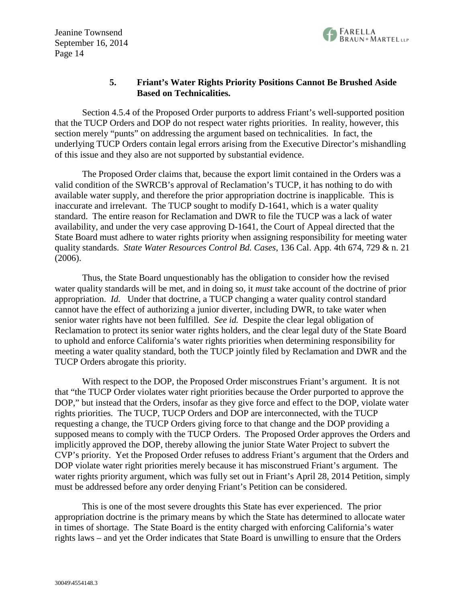

## **5. Friant's Water Rights Priority Positions Cannot Be Brushed Aside Based on Technicalities.**

Section 4.5.4 of the Proposed Order purports to address Friant's well-supported position that the TUCP Orders and DOP do not respect water rights priorities. In reality, however, this section merely "punts" on addressing the argument based on technicalities. In fact, the underlying TUCP Orders contain legal errors arising from the Executive Director's mishandling of this issue and they also are not supported by substantial evidence.

The Proposed Order claims that, because the export limit contained in the Orders was a valid condition of the SWRCB's approval of Reclamation's TUCP, it has nothing to do with available water supply, and therefore the prior appropriation doctrine is inapplicable. This is inaccurate and irrelevant. The TUCP sought to modify D-1641, which is a water quality standard. The entire reason for Reclamation and DWR to file the TUCP was a lack of water availability, and under the very case approving D-1641, the Court of Appeal directed that the State Board must adhere to water rights priority when assigning responsibility for meeting water quality standards. *State Water Resources Control Bd. Cases*, 136 Cal. App. 4th 674, 729 & n. 21 (2006).

Thus, the State Board unquestionably has the obligation to consider how the revised water quality standards will be met, and in doing so, it *must* take account of the doctrine of prior appropriation. *Id.* Under that doctrine, a TUCP changing a water quality control standard cannot have the effect of authorizing a junior diverter, including DWR, to take water when senior water rights have not been fulfilled. *See id.* Despite the clear legal obligation of Reclamation to protect its senior water rights holders, and the clear legal duty of the State Board to uphold and enforce California's water rights priorities when determining responsibility for meeting a water quality standard, both the TUCP jointly filed by Reclamation and DWR and the TUCP Orders abrogate this priority.

With respect to the DOP, the Proposed Order misconstrues Friant's argument. It is not that "the TUCP Order violates water right priorities because the Order purported to approve the DOP," but instead that the Orders, insofar as they give force and effect to the DOP, violate water rights priorities. The TUCP, TUCP Orders and DOP are interconnected, with the TUCP requesting a change, the TUCP Orders giving force to that change and the DOP providing a supposed means to comply with the TUCP Orders. The Proposed Order approves the Orders and implicitly approved the DOP, thereby allowing the junior State Water Project to subvert the CVP's priority. Yet the Proposed Order refuses to address Friant's argument that the Orders and DOP violate water right priorities merely because it has misconstrued Friant's argument. The water rights priority argument, which was fully set out in Friant's April 28, 2014 Petition, simply must be addressed before any order denying Friant's Petition can be considered.

This is one of the most severe droughts this State has ever experienced. The prior appropriation doctrine is the primary means by which the State has determined to allocate water in times of shortage. The State Board is the entity charged with enforcing California's water rights laws – and yet the Order indicates that State Board is unwilling to ensure that the Orders